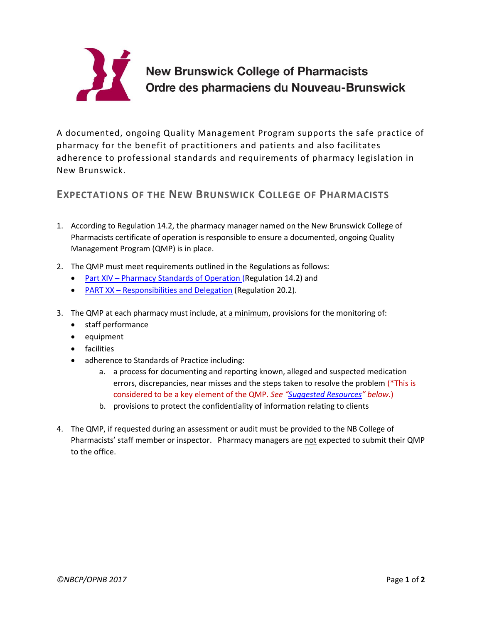

## **New Brunswick College of Pharmacists** Ordre des pharmaciens du Nouveau-Brunswick

A documented, ongoing Quality Management Program supports the safe practice of pharmacy for the benefit of practitioners and patients and also facilitates adherence to professional standards and requirements of pharmacy legislation in New Brunswick.

## <span id="page-0-0"></span>**EXPECTATIONS OF THE NEW BRUNSWICK COLLEGE OF PHARMACISTS**

- 1. According to Regulation 14.2, the pharmacy manager named on the New Brunswick College of Pharmacists certificate of operation is responsible to ensure a documented, ongoing Quality Management Program (QMP) is in place.
- 2. The QMP must meet requirements outlined in the Regulations as follows:
	- Part XIV [Pharmacy Standards of Operation](https://nbcp.in1touch.org/document/1733/2015%2005%2028%20REGS%20bilingual.pdf) (Regulation 14.2) and
	- PART XX [Responsibilities and Delegation](https://nbcp.in1touch.org/document/1733/2015%2005%2028%20REGS%20bilingual.pdf) (Regulation 20.2).
- 3. The QMP at each pharmacy must include, at a minimum, provisions for the monitoring of:
	- staff performance
	- equipment
	- facilities
	- adherence to Standards of Practice including:
		- a. a process for documenting and reporting known, alleged and suspected medication errors, discrepancies, near misses and the steps taken to resolve the problem (\*This is considered to be a key element of the QMP. *See "[Suggested Resources](#page-1-0)" below.*)
		- b. provisions to protect the confidentiality of information relating to clients
- 4. The QMP, if requested during an assessment or audit must be provided to the NB College of Pharmacists' staff member or inspector. Pharmacy managers are not expected to submit their QMP to the office.